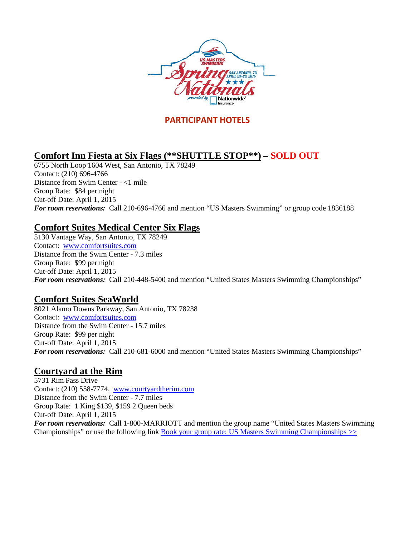

### **PARTICIPANT HOTELS**

## **Comfort Inn Fiesta at Six Flags (\*\*SHUTTLE STOP\*\*) – SOLD OUT**

6755 North Loop 1604 West, San Antonio, TX 78249 Contact: (210) 696-4766 Distance from Swim Center - <1 mile Group Rate: \$84 per night Cut-off Date: April 1, 2015 *For room reservations:* Call 210-696-4766 and mention "US Masters Swimming" or group code 1836188

#### **Comfort Suites Medical Center Six Flags**

5130 Vantage Way, San Antonio, TX 78249 Contact: [www.comfortsuites.com](http://www.comfortsuites.com/) Distance from the Swim Center - 7.3 miles Group Rate: \$99 per night Cut-off Date: April 1, 2015 *For room reservations:* Call 210-448-5400 and mention "United States Masters Swimming Championships"

#### **Comfort Suites SeaWorld**

8021 Alamo Downs Parkway, San Antonio, TX 78238 Contact: [www.comfortsuites.com](http://www.comfortsuites.com/) Distance from the Swim Center - 15.7 miles Group Rate: \$99 per night Cut-off Date: April 1, 2015 *For room reservations:* Call 210-681-6000 and mention "United States Masters Swimming Championships"

#### **Courtyard at the Rim**

5731 Rim Pass Drive Contact: (210) 558-7774, [www.courtyardtherim.com](http://www.courtyardtherim.com/) Distance from the Swim Center - 7.7 miles Group Rate: 1 King \$139, \$159 2 Queen beds Cut-off Date: April 1, 2015 *For room reservations:* Call 1-800-MARRIOTT and mention the group name "United States Masters Swimming Championships" or use the following link **Book your group rate: US Masters Swimming Championships**  $\gg$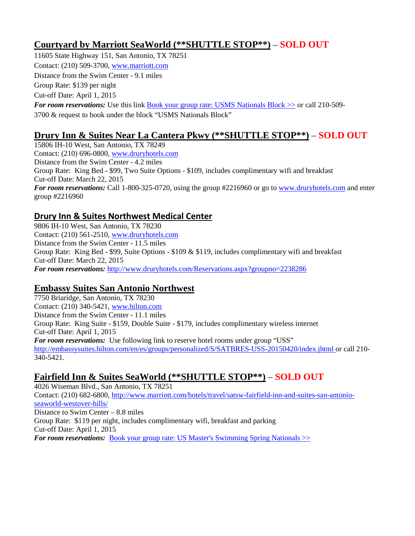### **Courtyard by Marriott SeaWorld (\*\*SHUTTLE STOP\*\*)** – **SOLD OUT**

11605 State Highway 151, San Antonio, TX 78251 Contact: (210) 509-3700[, www.marriott.com](http://www.marriott.com/) Distance from the Swim Center - 9.1 miles Group Rate: \$139 per night Cut-off Date: April 1, 2015 *For room reservations:* Use this link Book your group rate: USMS Nationals Block  $\gg$  or call 210-509-3700 & request to book under the block "USMS Nationals Block"

## **Drury Inn & Suites Near La Cantera Pkwy (\*\*SHUTTLE STOP\*\*)** – **SOLD OUT**

15806 IH-10 West, San Antonio, TX 78249 Contact: (210) 696-0800, [www.druryhotels.com](http://www.druryhotels.com/) Distance from the Swim Center - 4.2 miles Group Rate: King Bed - \$99, Two Suite Options - \$109, includes complimentary wifi and breakfast Cut-off Date: March 22, 2015 *For room reservations:* Call 1-800-325-0720, using the group #2216960 or go to [www.druryhotels.com](http://www.druryhotels.com/) and enter group #2216960

#### **Drury Inn & Suites Northwest Medical Center**

9806 IH-10 West, San Antonio, TX 78230 Contact: (210) 561-2510, [www.druryhotels.com](http://www.druryhotels.com/) Distance from the Swim Center - 11.5 miles Group Rate: King Bed - \$99, Suite Options - \$109 & \$119, includes complimentary wifi and breakfast Cut-off Date: March 22, 2015 *For room reservations:* <http://www.druryhotels.com/Reservations.aspx?groupno=2238286>

#### **Embassy Suites San Antonio Northwest**

7750 Briaridge, San Antonio, TX 78230 Contact: (210) 340-5421[, www.hilton.com](http://www.hilton.com/)  Distance from the Swim Center - 11.1 miles Group Rate: King Suite - \$159, Double Suite - \$179, includes complimentary wireless internet Cut-off Date: April 1, 2015 *For room reservations:* Use following link to reserve hotel rooms under group "USS" [http://embassysuites.hilton.com/en/es/groups/personalized/S/SATBRES-USS-20150420/index.jhtml or call 210-](http://embassysuites.hilton.com/en/es/groups/personalized/S/SATBRES-USS-20150420/index.jhtml%20or%20call%20210-340-5421) [340-5421.](http://embassysuites.hilton.com/en/es/groups/personalized/S/SATBRES-USS-20150420/index.jhtml%20or%20call%20210-340-5421)

## **Fairfield Inn & Suites SeaWorld (\*\*SHUTTLE STOP\*\*)** – **SOLD OUT**

4026 Wiseman Blvd., San Antonio, TX 78251 Contact: (210) 682-6800, [http://www.marriott.com/hotels/travel/satsw-fairfield-inn-and-suites-san-antonio](http://www.marriott.com/hotels/travel/satsw-fairfield-inn-and-suites-san-antonio-seaworld-westover-hills/)[seaworld-westover-hills/](http://www.marriott.com/hotels/travel/satsw-fairfield-inn-and-suites-san-antonio-seaworld-westover-hills/) Distance to Swim Center – 8.8 miles Group Rate: \$119 per night, includes complimentary wifi, breakfast and parking Cut-off Date: April 1, 2015 *For room reservations:* [Book your group rate: US Master's Swimming Spring Nationals >>](http://www.marriott.com/meeting-event-hotels/group-corporate-travel/groupCorp.mi?resLinkData=US%20Master)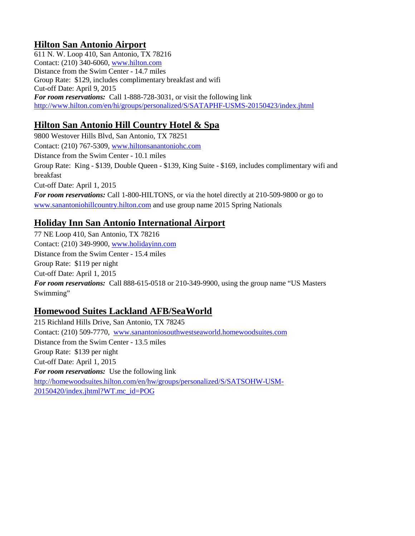## **Hilton San Antonio Airport**

611 N. W. Loop 410, San Antonio, TX 78216 Contact: (210) 340-6060[, www.hilton.com](http://www.hilton.com/) Distance from the Swim Center - 14.7 miles Group Rate: \$129, includes complimentary breakfast and wifi Cut-off Date: April 9, 2015 *For room reservations:* Call 1-888-728-3031, or visit the following link <http://www.hilton.com/en/hi/groups/personalized/S/SATAPHF-USMS-20150423/index.jhtml>

# **Hilton San Antonio Hill Country Hotel & Spa**

9800 Westover Hills Blvd, San Antonio, TX 78251 Contact: (210) 767-5309[, www.hiltonsanantoniohc.com](http://www.hiltonsanantoniohc.com/) Distance from the Swim Center - 10.1 miles Group Rate: King - \$139, Double Queen - \$139, King Suite - \$169, includes complimentary wifi and breakfast Cut-off Date: April 1, 2015 *For room reservations:* Call 1-800-HILTONS, or via the hotel directly at 210-509-9800 or go to [www.sanantoniohillcountry.hilton.com](http://www.sanantoniohillcountry.hilton.com/) and use group name 2015 Spring Nationals

## **Holiday Inn San Antonio International Airport**

77 NE Loop 410, San Antonio, TX 78216 Contact: (210) 349-9900[, www.holidayinn.com](http://www.holidayinn.com/) Distance from the Swim Center - 15.4 miles Group Rate: \$119 per night Cut-off Date: April 1, 2015 *For room reservations:* Call 888-615-0518 or 210-349-9900, using the group name "US Masters Swimming"

## **Homewood Suites Lackland AFB/SeaWorld**

215 Richland Hills Drive, San Antonio, TX 78245 Contact: (210) 509-7770, [www.sanantoniosouthwestseaworld.homewoodsuites.com](http://www.sanantoniosouthwestseaworld.homewoodsuites.com/) Distance from the Swim Center - 13.5 miles Group Rate: \$139 per night Cut-off Date: April 1, 2015 *For room reservations:* Use the following link [http://homewoodsuites.hilton.com/en/hw/groups/personalized/S/SATSOHW-USM-](http://homewoodsuites.hilton.com/en/hw/groups/personalized/S/SATSOHW-USM-20150420/index.jhtml?WT.mc_id=POG)[20150420/index.jhtml?WT.mc\\_id=POG](http://homewoodsuites.hilton.com/en/hw/groups/personalized/S/SATSOHW-USM-20150420/index.jhtml?WT.mc_id=POG)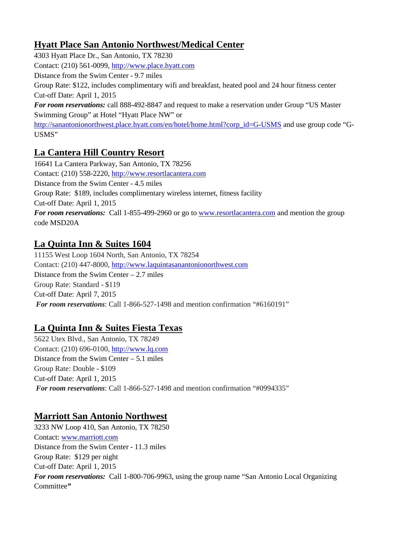## **Hyatt Place San Antonio Northwest/Medical Center**

4303 Hyatt Place Dr., San Antonio, TX 78230 Contact: (210) 561-0099[, http://www.place.hyatt.com](http://www.place.hyatt.com/) Distance from the Swim Center - 9.7 miles Group Rate: \$122, includes complimentary wifi and breakfast, heated pool and 24 hour fitness center Cut-off Date: April 1, 2015 *For room reservations:* call 888-492-8847 and request to make a reservation under Group "US Master Swimming Group" at Hotel "Hyatt Place NW" or [http://sanantonionorthwest.place.hyatt.com/en/hotel/home.html?corp\\_id=G-USMS](http://sanantonionorthwest.place.hyatt.com/en/hotel/home.html?corp_id=G-USMS) and use group code "G-USMS"

# **La Cantera Hill Country Resort**

16641 La Cantera Parkway, San Antonio, TX 78256 Contact: (210) 558-2220[, http://www.resortlacantera.com](http://www.resortlacantera.com/)  Distance from the Swim Center - 4.5 miles Group Rate: \$189, includes complimentary wireless internet, fitness facility Cut-off Date: April 1, 2015 *For room reservations:* Call 1-855-499-2960 or go to [www.resortlacantera.com](http://www.resortlacantera.com/) and mention the group code MSD20A

## **La Quinta Inn & Suites 1604**

11155 West Loop 1604 North, San Antonio, TX 78254 Contact: (210) 447-8000[, http://www.laquintasanantonionorthwest.com](http://www.laquintasanantonionorthwest.com/) Distance from the Swim Center – 2.7 miles Group Rate: Standard - \$119 Cut-off Date: April 7, 2015 *For room reservations*: Call 1-866-527-1498 and mention confirmation "#6160191"

## **La Quinta Inn & Suites Fiesta Texas**

5622 Utex Blvd., San Antonio, TX 78249 Contact: (210) 696-0100[, http://www.lq.com](http://www.lq.com/) Distance from the Swim Center – 5.1 miles Group Rate: Double - \$109 Cut-off Date: April 1, 2015 *For room reservations*: Call 1-866-527-1498 and mention confirmation "#0994335"

## **Marriott San Antonio Northwest**

3233 NW Loop 410, San Antonio, TX 78250 Contact: [www.marriott.com](http://www.marriott.com/) Distance from the Swim Center - 11.3 miles Group Rate: \$129 per night Cut-off Date: April 1, 2015 *For room reservations:* Call 1-800-706-9963, using the group name "San Antonio Local Organizing Committee*"*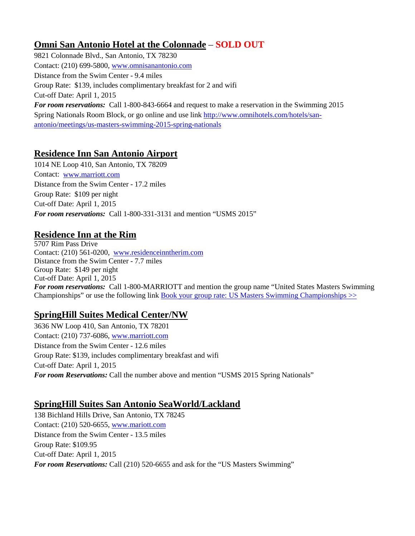## **Omni San Antonio Hotel at the Colonnade** – **SOLD OUT**

9821 Colonnade Blvd., San Antonio, TX 78230 Contact: (210) 699-5800[, www.omnisanantonio.com](http://www.omnisanantonio.com/) Distance from the Swim Center - 9.4 miles Group Rate: \$139, includes complimentary breakfast for 2 and wifi Cut-off Date: April 1, 2015 *For room reservations:* Call 1-800-843-6664 and request to make a reservation in the Swimming 2015 Spring Nationals Room Block, or go online and use link [http://www.omnihotels.com/hotels/san](https://owa.mex02.emailsrvr.com/owa/redir.aspx?C=A1vta9SMSUm1brbDi91eOCa8qxUqotFIhPNcfTjlwWJDXfln5jjl4Bg0c7wSjFo3NFefRBtopFQ.&URL=http%3a%2f%2fwww.omnihotels.com%2fhotels%2fsan-antonio%2fmeetings%2fus-masters-swimming-2015-spring-nationals)[antonio/meetings/us-masters-swimming-2015-spring-nationals](https://owa.mex02.emailsrvr.com/owa/redir.aspx?C=A1vta9SMSUm1brbDi91eOCa8qxUqotFIhPNcfTjlwWJDXfln5jjl4Bg0c7wSjFo3NFefRBtopFQ.&URL=http%3a%2f%2fwww.omnihotels.com%2fhotels%2fsan-antonio%2fmeetings%2fus-masters-swimming-2015-spring-nationals)

## **Residence Inn San Antonio Airport**

1014 NE Loop 410, San Antonio, TX 78209 Contact: [www.marriott.com](http://www.marriott.com/) Distance from the Swim Center - 17.2 miles Group Rate: \$109 per night Cut-off Date: April 1, 2015 *For room reservations:* Call 1-800-331-3131 and mention "USMS 2015"

### **Residence Inn at the Rim**

5707 Rim Pass Drive Contact: (210) 561-0200, [www.residenceinntherim.com](http://www.residenceinntherim.com/) Distance from the Swim Center - 7.7 miles Group Rate: \$149 per night Cut-off Date: April 1, 2015 *For room reservations:* Call 1-800-MARRIOTT and mention the group name "United States Masters Swimming Championships" or use the following link **Book your group rate: US Masters Swimming Championships**  $\gg$ 

## **SpringHill Suites Medical Center/NW**

3636 NW Loop 410, San Antonio, TX 78201 Contact: (210) 737-6086[, www.marriott.com](http://www.marriott.com/) Distance from the Swim Center - 12.6 miles Group Rate: \$139, includes complimentary breakfast and wifi Cut-off Date: April 1, 2015 *For room Reservations:* Call the number above and mention "USMS 2015 Spring Nationals"

#### **SpringHill Suites San Antonio SeaWorld/Lackland**

138 Bichland Hills Drive, San Antonio, TX 78245 Contact: (210) 520-6655[, www.mariott.com](http://www.mariott.com/) Distance from the Swim Center - 13.5 miles Group Rate: \$109.95 Cut-off Date: April 1, 2015 *For room Reservations:* Call (210) 520-6655 and ask for the "US Masters Swimming"